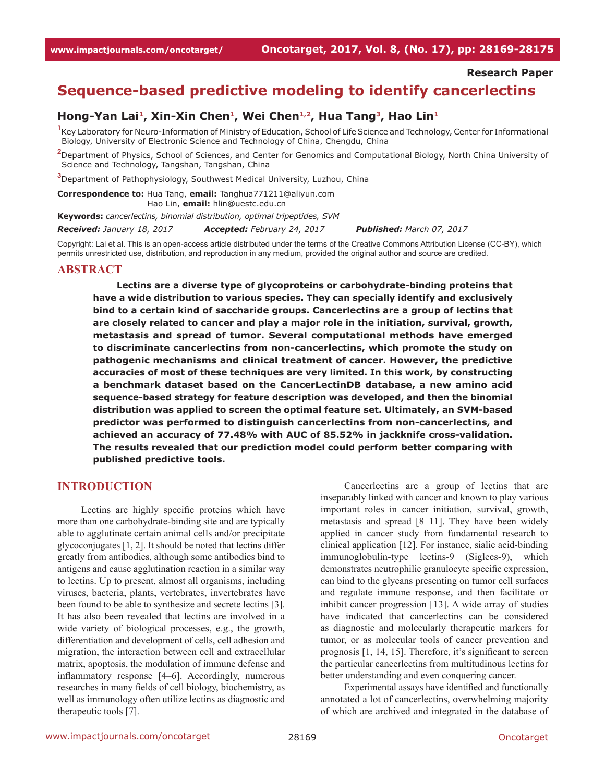**Research Paper**

# **Sequence-based predictive modeling to identify cancerlectins**

### Hong-Yan Lai<sup>1</sup>, Xin-Xin Chen<sup>1</sup>, Wei Chen<sup>1,2</sup>, Hua Tang<sup>3</sup>, Hao Lin<sup>1</sup>

<sup>1</sup> Key Laboratory for Neuro-Information of Ministry of Education, School of Life Science and Technology, Center for Informational Biology, University of Electronic Science and Technology of China, Chengdu, China

**2** Department of Physics, School of Sciences, and Center for Genomics and Computational Biology, North China University of Science and Technology, Tangshan, Tangshan, China

**3** Department of Pathophysiology, Southwest Medical University, Luzhou, China

**Correspondence to:** Hua Tang, **email:** Tanghua771211@aliyun.com Hao Lin, **email:** hlin@uestc.edu.cn

**Keywords:** *cancerlectins, binomial distribution, optimal tripeptides, SVM*

*Received: January 18, 2017 Accepted: February 24, 2017 Published: March 07, 2017*

Copyright: Lai et al. This is an open-access article distributed under the terms of the Creative Commons Attribution License (CC-BY), which permits unrestricted use, distribution, and reproduction in any medium, provided the original author and source are credited.

#### **ABSTRACT**

**Lectins are a diverse type of glycoproteins or carbohydrate-binding proteins that have a wide distribution to various species. They can specially identify and exclusively bind to a certain kind of saccharide groups. Cancerlectins are a group of lectins that are closely related to cancer and play a major role in the initiation, survival, growth, metastasis and spread of tumor. Several computational methods have emerged to discriminate cancerlectins from non-cancerlectins, which promote the study on pathogenic mechanisms and clinical treatment of cancer. However, the predictive accuracies of most of these techniques are very limited. In this work, by constructing a benchmark dataset based on the CancerLectinDB database, a new amino acid sequence-based strategy for feature description was developed, and then the binomial distribution was applied to screen the optimal feature set. Ultimately, an SVM-based predictor was performed to distinguish cancerlectins from non-cancerlectins, and achieved an accuracy of 77.48% with AUC of 85.52% in jackknife cross-validation. The results revealed that our prediction model could perform better comparing with published predictive tools.**

#### **INTRODUCTION**

Lectins are highly specific proteins which have more than one carbohydrate-binding site and are typically able to agglutinate certain animal cells and/or precipitate glycoconjugates [1, 2]. It should be noted that lectins differ greatly from antibodies, although some antibodies bind to antigens and cause agglutination reaction in a similar way to lectins. Up to present, almost all organisms, including viruses, bacteria, plants, vertebrates, invertebrates have been found to be able to synthesize and secrete lectins [3]. It has also been revealed that lectins are involved in a wide variety of biological processes, e.g., the growth, differentiation and development of cells, cell adhesion and migration, the interaction between cell and extracellular matrix, apoptosis, the modulation of immune defense and inflammatory response [4–6]. Accordingly, numerous researches in many fields of cell biology, biochemistry, as well as immunology often utilize lectins as diagnostic and therapeutic tools [7].

Cancerlectins are a group of lectins that are inseparably linked with cancer and known to play various important roles in cancer initiation, survival, growth, metastasis and spread [8–11]. They have been widely applied in cancer study from fundamental research to clinical application [12]. For instance, sialic acid-binding immunoglobulin-type lectins-9 (Siglecs-9), which demonstrates neutrophilic granulocyte specific expression, can bind to the glycans presenting on tumor cell surfaces and regulate immune response, and then facilitate or inhibit cancer progression [13]. A wide array of studies have indicated that cancerlectins can be considered as diagnostic and molecularly therapeutic markers for tumor, or as molecular tools of cancer prevention and prognosis [1, 14, 15]. Therefore, it's significant to screen the particular cancerlectins from multitudinous lectins for better understanding and even conquering cancer.

Experimental assays have identified and functionally annotated a lot of cancerlectins, overwhelming majority of which are archived and integrated in the database of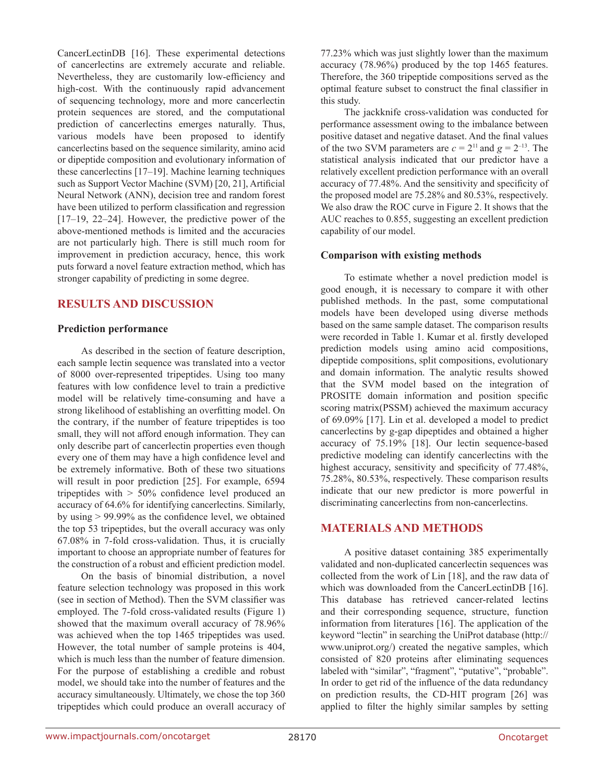CancerLectinDB [16]. These experimental detections of cancerlectins are extremely accurate and reliable. Nevertheless, they are customarily low-efficiency and high-cost. With the continuously rapid advancement of sequencing technology, more and more cancerlectin protein sequences are stored, and the computational prediction of cancerlectins emerges naturally. Thus, various models have been proposed to identify cancerlectins based on the sequence similarity, amino acid or dipeptide composition and evolutionary information of these cancerlectins [17–19]. Machine learning techniques such as Support Vector Machine (SVM) [20, 21], Artificial Neural Network (ANN), decision tree and random forest have been utilized to perform classification and regression [17–19, 22–24]. However, the predictive power of the above-mentioned methods is limited and the accuracies are not particularly high. There is still much room for improvement in prediction accuracy, hence, this work puts forward a novel feature extraction method, which has stronger capability of predicting in some degree.

# **RESULTS AND DISCUSSION**

### **Prediction performance**

As described in the section of feature description, each sample lectin sequence was translated into a vector of 8000 over-represented tripeptides. Using too many features with low confidence level to train a predictive model will be relatively time-consuming and have a strong likelihood of establishing an overfitting model. On the contrary, if the number of feature tripeptides is too small, they will not afford enough information. They can only describe part of cancerlectin properties even though every one of them may have a high confidence level and be extremely informative. Both of these two situations will result in poor prediction [25]. For example, 6594 tripeptides with > 50% confidence level produced an accuracy of 64.6% for identifying cancerlectins. Similarly, by using > 99.99% as the confidence level, we obtained the top 53 tripeptides, but the overall accuracy was only 67.08% in 7-fold cross-validation. Thus, it is crucially important to choose an appropriate number of features for the construction of a robust and efficient prediction model.

On the basis of binomial distribution, a novel feature selection technology was proposed in this work (see in section of Method). Then the SVM classifier was employed. The 7-fold cross-validated results (Figure 1) showed that the maximum overall accuracy of 78.96% was achieved when the top 1465 tripeptides was used. However, the total number of sample proteins is 404, which is much less than the number of feature dimension. For the purpose of establishing a credible and robust model, we should take into the number of features and the accuracy simultaneously. Ultimately, we chose the top 360 tripeptides which could produce an overall accuracy of 77.23% which was just slightly lower than the maximum accuracy (78.96%) produced by the top 1465 features. Therefore, the 360 tripeptide compositions served as the optimal feature subset to construct the final classifier in this study.

The jackknife cross-validation was conducted for performance assessment owing to the imbalance between positive dataset and negative dataset. And the final values of the two SVM parameters are  $c = 2^{11}$  and  $g = 2^{-13}$ . The statistical analysis indicated that our predictor have a relatively excellent prediction performance with an overall accuracy of 77.48%. And the sensitivity and specificity of the proposed model are 75.28% and 80.53%, respectively. We also draw the ROC curve in Figure 2. It shows that the AUC reaches to 0.855, suggesting an excellent prediction capability of our model.

## **Comparison with existing methods**

To estimate whether a novel prediction model is good enough, it is necessary to compare it with other published methods. In the past, some computational models have been developed using diverse methods based on the same sample dataset. The comparison results were recorded in Table 1. Kumar et al. firstly developed prediction models using amino acid compositions, dipeptide compositions, split compositions, evolutionary and domain information. The analytic results showed that the SVM model based on the integration of PROSITE domain information and position specific scoring matrix(PSSM) achieved the maximum accuracy of 69.09% [17]. Lin et al. developed a model to predict cancerlectins by g-gap dipeptides and obtained a higher accuracy of 75.19% [18]. Our lectin sequence-based predictive modeling can identify cancerlectins with the highest accuracy, sensitivity and specificity of 77.48%, 75.28%, 80.53%, respectively. These comparison results indicate that our new predictor is more powerful in discriminating cancerlectins from non-cancerlectins.

# **MATERIALS AND METHODS**

A positive dataset containing 385 experimentally validated and non-duplicated cancerlectin sequences was collected from the work of Lin [18], and the raw data of which was downloaded from the CancerLectinDB [16]. This database has retrieved cancer-related lectins and their corresponding sequence, structure, function information from literatures [16]. The application of the keyword "lectin" in searching the UniProt database (http:// www.uniprot.org/) created the negative samples, which consisted of 820 proteins after eliminating sequences labeled with "similar", "fragment", "putative", "probable". In order to get rid of the influence of the data redundancy on prediction results, the CD-HIT program [26] was applied to filter the highly similar samples by setting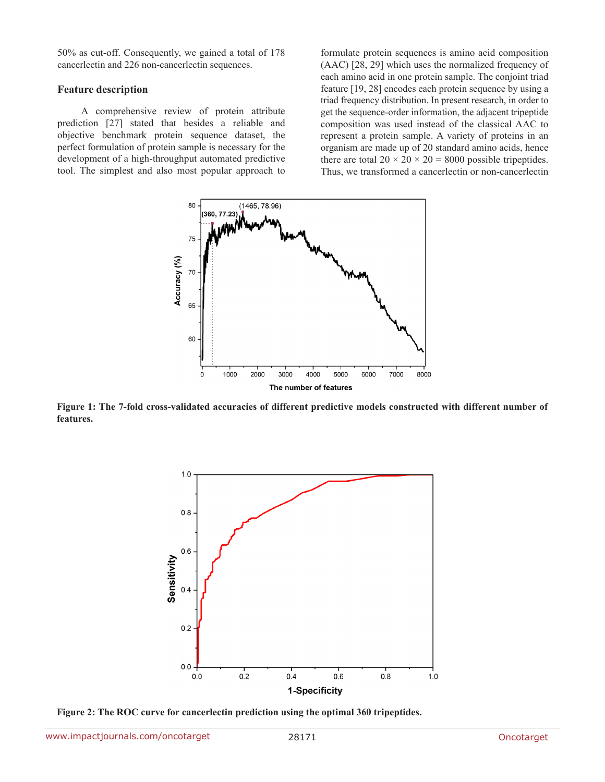50% as cut-off. Consequently, we gained a total of 178 cancerlectin and 226 non-cancerlectin sequences.

#### **Feature description**

A comprehensive review of protein attribute prediction [27] stated that besides a reliable and objective benchmark protein sequence dataset, the perfect formulation of protein sample is necessary for the development of a high-throughput automated predictive tool. The simplest and also most popular approach to formulate protein sequences is amino acid composition (AAC) [28, 29] which uses the normalized frequency of each amino acid in one protein sample. The conjoint triad feature [19, 28] encodes each protein sequence by using a triad frequency distribution. In present research, in order to get the sequence-order information, the adjacent tripeptide composition was used instead of the classical AAC to represent a protein sample. A variety of proteins in an organism are made up of 20 standard amino acids, hence there are total  $20 \times 20 \times 20 = 8000$  possible tripeptides. Thus, we transformed a cancerlectin or non-cancerlectin



**Figure 1: The 7-fold cross-validated accuracies of different predictive models constructed with different number of features.**



**Figure 2: The ROC curve for cancerlectin prediction using the optimal 360 tripeptides.**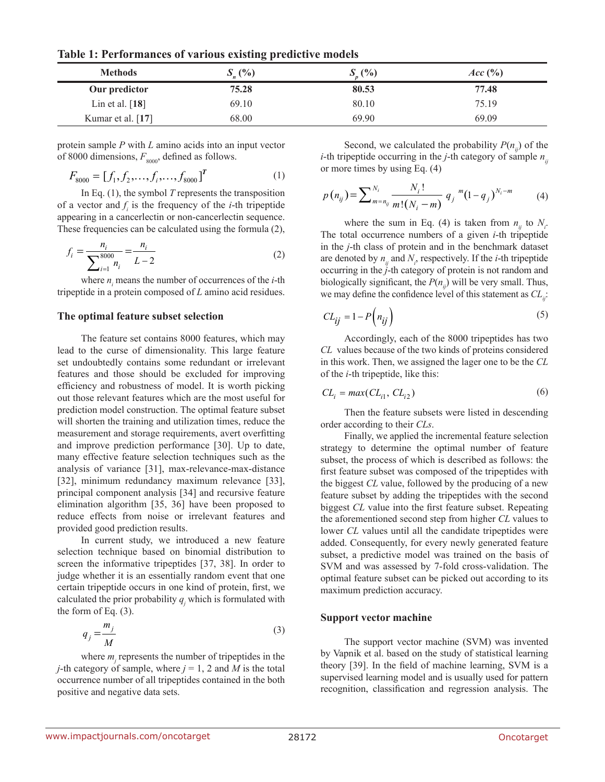**Table 1: Performances of various existing predictive models**

| <b>Methods</b>    | $S_{n}(\% )$ | (%)<br>ມ | $Acc$ $\left(\frac{9}{6}\right)$ |
|-------------------|--------------|----------|----------------------------------|
| Our predictor     | 75.28        | 80.53    | 77.48                            |
| Lin et al. $[18]$ | 69.10        | 80.10    | 75.19                            |
| Kumar et al. [17] | 68.00        | 69.90    | 69.09                            |

protein sample *P* with *L* amino acids into an input vector of 8000 dimensions,  $F_{8000}$ , defined as follows.

$$
F_{8000} = [f_1, f_2, \dots, f_i, \dots, f_{8000}]^T
$$
 (1)

In Eq. (1), the symbol *T* represents the transposition of a vector and  $f_i$  is the frequency of the *i*-th tripeptide appearing in a cancerlectin or non-cancerlectin sequence. These frequencies can be calculated using the formula (2),

$$
f_i = \frac{n_i}{\sum_{i=1}^{8000} n_i} = \frac{n_i}{L - 2}
$$
 (2)

where  $n_i$  means the number of occurrences of the  $i$ -th tripeptide in a protein composed of *L* amino acid residues.

#### **The optimal feature subset selection**

The feature set contains 8000 features, which may lead to the curse of dimensionality. This large feature set undoubtedly contains some redundant or irrelevant features and those should be excluded for improving efficiency and robustness of model. It is worth picking out those relevant features which are the most useful for prediction model construction. The optimal feature subset will shorten the training and utilization times, reduce the measurement and storage requirements, avert overfitting and improve prediction performance [30]. Up to date, many effective feature selection techniques such as the analysis of variance [31], max-relevance-max-distance [32], minimum redundancy maximum relevance [33], principal component analysis [34] and recursive feature elimination algorithm [35, 36] have been proposed to reduce effects from noise or irrelevant features and provided good prediction results.

In current study, we introduced a new feature selection technique based on binomial distribution to screen the informative tripeptides [37, 38]. In order to judge whether it is an essentially random event that one certain tripeptide occurs in one kind of protein, first, we calculated the prior probability  $q_j$  which is formulated with the form of Eq.  $(3)$ .

$$
q_j = \frac{m_j}{M} \tag{3}
$$

where  $m_j$  represents the number of tripeptides in the *j*-th category of sample, where  $j = 1, 2$  and *M* is the total occurrence number of all tripeptides contained in the both positive and negative data sets.

Second, we calculated the probability  $P(n_i)$  of the *i*-th tripeptide occurring in the *j*-th category of sample  $n_{ij}$ or more times by using Eq. (4)

$$
p(n_{ij}) = \sum_{m=n_{ij}}^{N_i} \frac{N_i!}{m!(N_i-m)} q_j^{m} (1-q_j)^{N_i-m}
$$
 (4)

where the sum in Eq. (4) is taken from  $n_{ij}$  to  $N_i$ . The total occurrence numbers of a given *i*-th tripeptide in the *j*-th class of protein and in the benchmark dataset are denoted by  $n_{ij}$  and  $N_i$ , respectively. If the *i*-th tripeptide occurring in the *j*-th category of protein is not random and biologically significant, the  $P(n_i)$  will be very small. Thus, we may define the confidence level of this statement as  $CL_{ii}$ :

$$
CL_{ij} = 1 - P\left(n_{ij}\right) \tag{5}
$$

Accordingly, each of the 8000 tripeptides has two *CL* values because of the two kinds of proteins considered in this work. Then, we assigned the lager one to be the *CL* of the *i*-th tripeptide, like this:

$$
CLi = max(CLi1, CLi2)
$$
\n(6)

Then the feature subsets were listed in descending order according to their *CLs*.

Finally, we applied the incremental feature selection strategy to determine the optimal number of feature subset, the process of which is described as follows: the first feature subset was composed of the tripeptides with the biggest *CL* value, followed by the producing of a new feature subset by adding the tripeptides with the second biggest *CL* value into the first feature subset. Repeating the aforementioned second step from higher *CL* values to lower *CL* values until all the candidate tripeptides were added. Consequently, for every newly generated feature subset, a predictive model was trained on the basis of SVM and was assessed by 7-fold cross-validation. The optimal feature subset can be picked out according to its maximum prediction accuracy.

#### **Support vector machine**

The support vector machine (SVM) was invented by Vapnik et al. based on the study of statistical learning theory [39]. In the field of machine learning, SVM is a supervised learning model and is usually used for pattern recognition, classification and regression analysis. The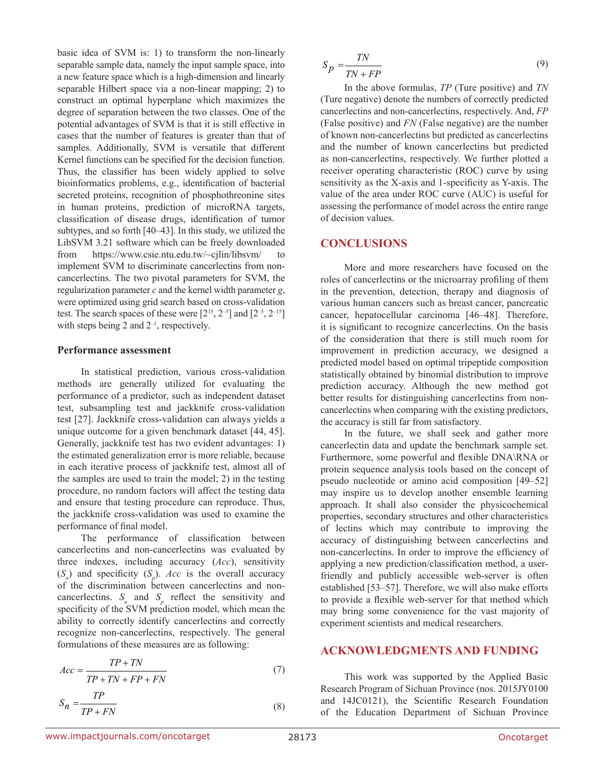basic idea of SVM is: 1) to transform the non-linearly separable sample data, namely the input sample space, into a new feature space which is a high-dimension and linearly separable Hilbert space via a non-linear mapping; 2) to construct an optimal hyperplane which maximizes the degree of separation between the two classes. One of the potential advantages of SVM is that it is still effective in cases that the number of features is greater than that of samples. Additionally, SVM is versatile that different Kernel functions can be specified for the decision function. Thus, the classifier has been widely applied to solve bioinformatics problems, e.g., identification of bacterial secreted proteins, recognition of phosphothreonine sites in human proteins, prediction of microRNA targets, classification of disease drugs, identification of tumor subtypes, and so forth [40–43]. In this study, we utilized the LibSVM 3.21 software which can be freely downloaded from https://www.csie.ntu.edu.tw/~cjlin/libsvm/ to implement SVM to discriminate cancerlectins from noncancerlectins. The two pivotal parameters for SVM, the regularization parameter *c* and the kernel width parameter *g*, were optimized using grid search based on cross-validation test. The search spaces of these were  $[2^{15}, 2^{-5}]$  and  $[2^{-5}, 2^{-15}]$ with steps being 2 and  $2^{-1}$ , respectively.

#### **Performance assessment**

In statistical prediction, various cross-validation methods are generally utilized for evaluating the performance of a predictor, such as independent dataset test, subsampling test and jackknife cross-validation test [27]. Jackknife cross-validation can always yields a unique outcome for a given benchmark dataset [44, 45]. Generally, jackknife test has two evident advantages: 1) the estimated generalization error is more reliable, because in each iterative process of jackknife test, almost all of the samples are used to train the model; 2) in the testing procedure, no random factors will affect the testing data and ensure that testing procedure can reproduce. Thus, the jackknife cross-validation was used to examine the performance of final model.

The performance of classification between cancerlectins and non-cancerlectins was evaluated by three indexes, including accuracy (*Acc*), sensitivity  $(S_n)$  and specificity  $(S_p)$ . *Acc* is the overall accuracy of the discrimination between cancerlectins and noncancerlectins.  $S_n$  and  $S_p$  reflect the sensitivity and specificity of the SVM prediction model, which mean the ability to correctly identify cancerlectins and correctly recognize non-cancerlectins, respectively. The general formulations of these measures are as following:

$$
Acc = \frac{TP + TN}{TP + TN + FP + FN}
$$
 (7)

$$
S_n = \frac{TP}{TP + FN} \tag{8}
$$

$$
S_p = \frac{TN}{TN + FP} \tag{9}
$$

In the above formulas, *TP* (Ture positive) and *TN* (Ture negative) denote the numbers of correctly predicted cancerlectins and non-cancerlectins, respectively. And, *FP* (False positive) and *FN* (False negative) are the number of known non-cancerlectins but predicted as cancerlectins and the number of known cancerlectins but predicted as non-cancerlectins, respectively. We further plotted a receiver operating characteristic (ROC) curve by using sensitivity as the X-axis and 1-specificity as Y-axis. The value of the area under ROC curve (AUC) is useful for assessing the performance of model across the entire range of decision values.

## **CONCLUSIONS**

More and more researchers have focused on the roles of cancerlectins or the microarray profiling of them in the prevention, detection, therapy and diagnosis of various human cancers such as breast cancer, pancreatic cancer, hepatocellular carcinoma [46–48]. Therefore, it is significant to recognize cancerlectins. On the basis of the consideration that there is still much room for improvement in prediction accuracy, we designed a predicted model based on optimal tripeptide composition statistically obtained by binomial distribution to improve prediction accuracy. Although the new method got better results for distinguishing cancerlectins from noncancerlectins when comparing with the existing predictors, the accuracy is still far from satisfactory.

In the future, we shall seek and gather more cancerlectin data and update the benchmark sample set. Furthermore, some powerful and flexible DNA\RNA or protein sequence analysis tools based on the concept of pseudo nucleotide or amino acid composition [49–52] may inspire us to develop another ensemble learning approach. It shall also consider the physicochemical properties, secondary structures and other characteristics of lectins which may contribute to improving the accuracy of distinguishing between cancerlectins and non-cancerlectins. In order to improve the efficiency of applying a new prediction/classification method, a userfriendly and publicly accessible web-server is often established [53–57]. Therefore, we will also make efforts to provide a flexible web-server for that method which may bring some convenience for the vast majority of experiment scientists and medical researchers.

### **ACKNOWLEDGMENTS AND FUNDING**

This work was supported by the Applied Basic Research Program of Sichuan Province (nos. 2015JY0100 and 14JC0121), the Scientific Research Foundation of the Education Department of Sichuan Province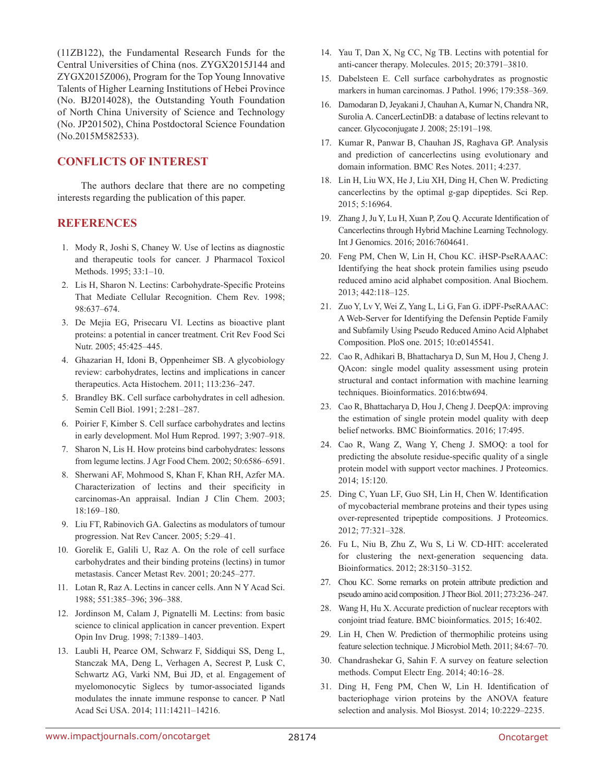(11ZB122), the Fundamental Research Funds for the Central Universities of China (nos. ZYGX2015J144 and ZYGX2015Z006), Program for the Top Young Innovative Talents of Higher Learning Institutions of Hebei Province (No. BJ2014028), the Outstanding Youth Foundation of North China University of Science and Technology (No. JP201502), China Postdoctoral Science Foundation (No.2015M582533).

# **CONFLICTS OF INTEREST**

The authors declare that there are no competing interests regarding the publication of this paper.

### **REFERENCES**

- 1. Mody R, Joshi S, Chaney W. Use of lectins as diagnostic and therapeutic tools for cancer. J Pharmacol Toxicol Methods. 1995; 33:1–10.
- 2. Lis H, Sharon N. Lectins: Carbohydrate-Specific Proteins That Mediate Cellular Recognition. Chem Rev. 1998; 98:637–674.
- 3. De Mejia EG, Prisecaru VI. Lectins as bioactive plant proteins: a potential in cancer treatment. Crit Rev Food Sci Nutr. 2005; 45:425–445.
- 4. Ghazarian H, Idoni B, Oppenheimer SB. A glycobiology review: carbohydrates, lectins and implications in cancer therapeutics. Acta Histochem. 2011; 113:236–247.
- 5. Brandley BK. Cell surface carbohydrates in cell adhesion. Semin Cell Biol. 1991; 2:281–287.
- 6. Poirier F, Kimber S. Cell surface carbohydrates and lectins in early development. Mol Hum Reprod. 1997; 3:907–918.
- 7. Sharon N, Lis H. How proteins bind carbohydrates: lessons from legume lectins. J Agr Food Chem. 2002; 50:6586–6591.
- 8. Sherwani AF, Mohmood S, Khan F, Khan RH, Azfer MA. Characterization of lectins and their specificity in carcinomas-An appraisal. Indian J Clin Chem. 2003; 18:169–180.
- 9. Liu FT, Rabinovich GA. Galectins as modulators of tumour progression. Nat Rev Cancer. 2005; 5:29–41.
- 10. Gorelik E, Galili U, Raz A. On the role of cell surface carbohydrates and their binding proteins (lectins) in tumor metastasis. Cancer Metast Rev. 2001; 20:245–277.
- 11. Lotan R, Raz A. Lectins in cancer cells. Ann N Y Acad Sci. 1988; 551:385–396; 396–388.
- 12. Jordinson M, Calam J, Pignatelli M. Lectins: from basic science to clinical application in cancer prevention. Expert Opin Inv Drug. 1998; 7:1389–1403.
- 13. Laubli H, Pearce OM, Schwarz F, Siddiqui SS, Deng L, Stanczak MA, Deng L, Verhagen A, Secrest P, Lusk C, Schwartz AG, Varki NM, Bui JD, et al. Engagement of myelomonocytic Siglecs by tumor-associated ligands modulates the innate immune response to cancer. P Natl Acad Sci USA. 2014; 111:14211–14216.
- 14. Yau T, Dan X, Ng CC, Ng TB. Lectins with potential for anti-cancer therapy. Molecules. 2015; 20:3791–3810.
- 15. Dabelsteen E. Cell surface carbohydrates as prognostic markers in human carcinomas. J Pathol. 1996; 179:358–369.
- 16. Damodaran D, Jeyakani J, Chauhan A, Kumar N, Chandra NR, Surolia A. CancerLectinDB: a database of lectins relevant to cancer. Glycoconjugate J. 2008; 25:191–198.
- 17. Kumar R, Panwar B, Chauhan JS, Raghava GP. Analysis and prediction of cancerlectins using evolutionary and domain information. BMC Res Notes. 2011; 4:237.
- 18. Lin H, Liu WX, He J, Liu XH, Ding H, Chen W. Predicting cancerlectins by the optimal g-gap dipeptides. Sci Rep. 2015; 5:16964.
- 19. Zhang J, Ju Y, Lu H, Xuan P, Zou Q. Accurate Identification of Cancerlectins through Hybrid Machine Learning Technology. Int J Genomics. 2016; 2016:7604641.
- 20. Feng PM, Chen W, Lin H, Chou KC. iHSP-PseRAAAC: Identifying the heat shock protein families using pseudo reduced amino acid alphabet composition. Anal Biochem. 2013; 442:118–125.
- 21. Zuo Y, Lv Y, Wei Z, Yang L, Li G, Fan G. iDPF-PseRAAAC: A Web-Server for Identifying the Defensin Peptide Family and Subfamily Using Pseudo Reduced Amino Acid Alphabet Composition. PloS one. 2015; 10:e0145541.
- 22. Cao R, Adhikari B, Bhattacharya D, Sun M, Hou J, Cheng J. QAcon: single model quality assessment using protein structural and contact information with machine learning techniques. Bioinformatics. 2016:btw694.
- 23. Cao R, Bhattacharya D, Hou J, Cheng J. DeepQA: improving the estimation of single protein model quality with deep belief networks. BMC Bioinformatics. 2016; 17:495.
- 24. Cao R, Wang Z, Wang Y, Cheng J. SMOQ: a tool for predicting the absolute residue-specific quality of a single protein model with support vector machines. J Proteomics. 2014; 15:120.
- 25. Ding C, Yuan LF, Guo SH, Lin H, Chen W. Identification of mycobacterial membrane proteins and their types using over-represented tripeptide compositions. J Proteomics. 2012; 77:321–328.
- 26. Fu L, Niu B, Zhu Z, Wu S, Li W. CD-HIT: accelerated for clustering the next-generation sequencing data. Bioinformatics. 2012; 28:3150–3152.
- 27. Chou KC. Some remarks on protein attribute prediction and pseudo amino acid composition. J Theor Biol. 2011; 273:236–247.
- 28. Wang H, Hu X. Accurate prediction of nuclear receptors with conjoint triad feature. BMC bioinformatics. 2015; 16:402.
- 29. Lin H, Chen W. Prediction of thermophilic proteins using feature selection technique. J Microbiol Meth. 2011; 84:67–70.
- 30. Chandrashekar G, Sahin F. A survey on feature selection methods. Comput Electr Eng. 2014; 40:16–28.
- 31. Ding H, Feng PM, Chen W, Lin H. Identification of bacteriophage virion proteins by the ANOVA feature selection and analysis. Mol Biosyst. 2014; 10:2229–2235.